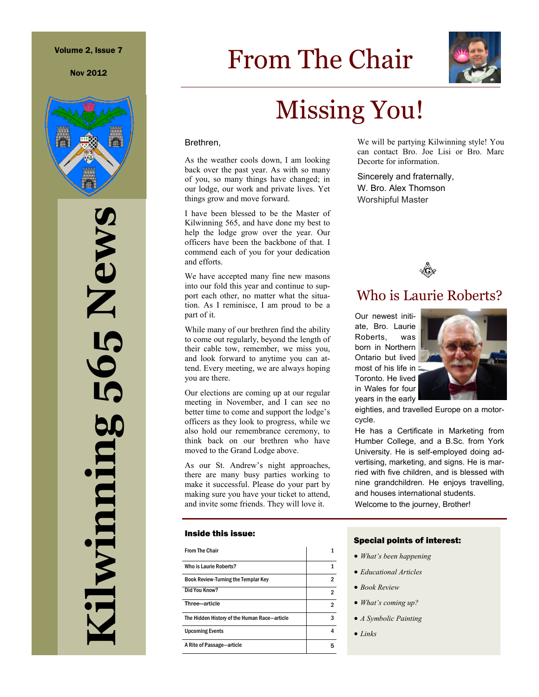Nov 2012



**Kilwinning 565 News** 565 News ilwinning

# From The Chair



# Missing You!

#### Brethren,

As the weather cools down, I am looking back over the past year. As with so many of you, so many things have changed; in our lodge, our work and private lives. Yet things grow and move forward.

I have been blessed to be the Master of Kilwinning 565, and have done my best to help the lodge grow over the year. Our officers have been the backbone of that. I commend each of you for your dedication and efforts.

We have accepted many fine new masons into our fold this year and continue to support each other, no matter what the situation. As I reminisce, I am proud to be a part of it.

While many of our brethren find the ability to come out regularly, beyond the length of their cable tow, remember, we miss you, and look forward to anytime you can attend. Every meeting, we are always hoping you are there.

Our elections are coming up at our regular meeting in November, and I can see no better time to come and support the lodge's officers as they look to progress, while we also hold our remembrance ceremony, to think back on our brethren who have moved to the Grand Lodge above.

As our St. Andrew's night approaches, there are many busy parties working to make it successful. Please do your part by making sure you have your ticket to attend, and invite some friends. They will love it.

#### Inside this issue:

| <b>From The Chair</b>                        |   |
|----------------------------------------------|---|
| Who is Laurie Roberts?                       | 1 |
| <b>Book Review-Turning the Templar Key</b>   | 2 |
| Did You Know?                                | 2 |
| Three-article                                | 2 |
| The Hidden History of the Human Race-article | 3 |
| <b>Upcoming Events</b>                       | 4 |
| A Rite of Passage-article                    | 5 |

We will be partying Kilwinning style! You can contact Bro. Joe Lisi or Bro. Marc Decorte for information.

Sincerely and fraternally, W. Bro. Alex Thomson Worshipful Master



## Who is Laurie Roberts?

Our newest initiate, Bro. Laurie Roberts, was born in Northern Ontario but lived most of his life in Toronto. He lived in Wales for four years in the early



eighties, and travelled Europe on a motorcycle.

He has a Certificate in Marketing from Humber College, and a B.Sc. from York University. He is self-employed doing advertising, marketing, and signs. He is married with five children, and is blessed with nine grandchildren. He enjoys travelling, and houses international students. Welcome to the journey, Brother!

#### Special points of interest:

- *What's been happening*
- *Educational Articles*
- *Book Review*
- *What's coming up?*
- *A Symbolic Painting*
- *Links*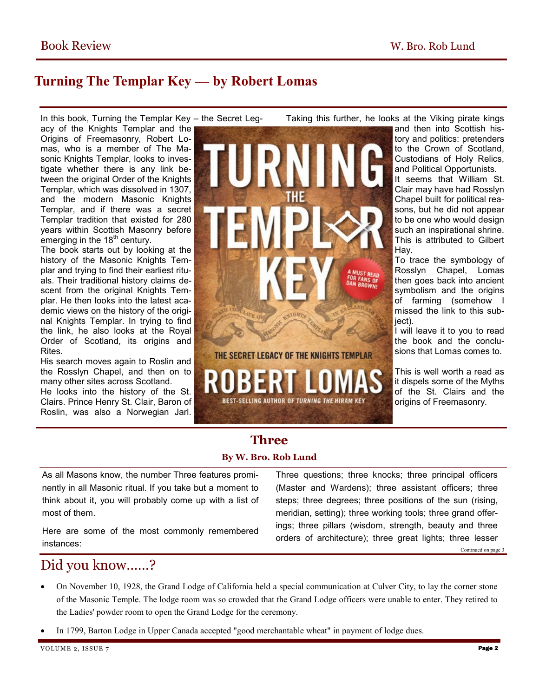## **Turning The Templar Key — by Robert Lomas**

In this book, Turning the Templar Key – the Secret Legacy of the Knights Templar and the Origins of Freemasonry, Robert Lomas, who is a member of The Masonic Knights Templar, looks to investigate whether there is any link between the original Order of the Knights Templar, which was dissolved in 1307, and the modern Masonic Knights Templar, and if there was a secret Templar tradition that existed for 280 years within Scottish Masonry before emerging in the  $18<sup>th</sup>$  century.

The book starts out by looking at the history of the Masonic Knights Templar and trying to find their earliest rituals. Their traditional history claims descent from the original Knights Templar. He then looks into the latest academic views on the history of the original Knights Templar. In trying to find the link, he also looks at the Royal Order of Scotland, its origins and Rites.

His search moves again to Roslin and the Rosslyn Chapel, and then on to many other sites across Scotland.

He looks into the history of the St. Clairs. Prince Henry St. Clair, Baron of Roslin, was also a Norwegian Jarl.

Taking this further, he looks at the Viking pirate kings

and then into Scottish history and politics: pretenders to the Crown of Scotland, Custodians of Holy Relics, and Political Opportunists. It seems that William St. Clair may have had Rosslyn Chapel built for political reasons, but he did not appear to be one who would design such an inspirational shrine. This is attributed to Gilbert Hay.

To trace the symbology of Rosslyn Chapel, Lomas then goes back into ancient symbolism and the origins of farming (somehow I missed the link to this subiect).

I will leave it to you to read the book and the conclusions that Lomas comes to.

This is well worth a read as it dispels some of the Myths of the St. Clairs and the origins of Freemasonry.

### **Three By W. Bro. Rob Lund**

As all Masons know, the number Three features prominently in all Masonic ritual. If you take but a moment to think about it, you will probably come up with a list of most of them.

Here are some of the most commonly remembered instances:

Three questions; three knocks; three principal officers (Master and Wardens); three assistant officers; three steps; three degrees; three positions of the sun (rising, meridian, setting); three working tools; three grand offerings; three pillars (wisdom, strength, beauty and three orders of architecture); three great lights; three lesser Continued on page 3

## Did you know……?

- On November 10, 1928, the Grand Lodge of California held a special communication at Culver City, to lay the corner stone of the Masonic Temple. The lodge room was so crowded that the Grand Lodge officers were unable to enter. They retired to the Ladies' powder room to open the Grand Lodge for the ceremony.
- In 1799, Barton Lodge in Upper Canada accepted "good merchantable wheat" in payment of lodge dues.



THE SECRET LEGACY OF THE KNIGHTS TEMPLAR

**BEST-SELLING AUTHOR OF TURNING THE HIRAM KEY**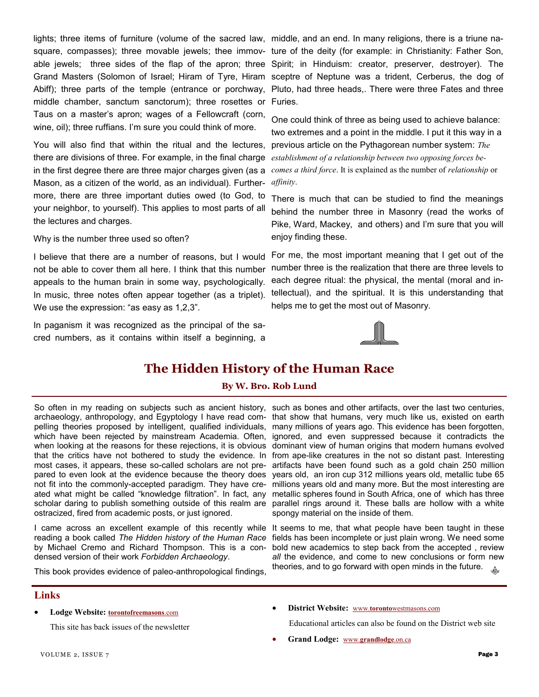lights; three items of furniture (volume of the sacred law, middle, and an end. In many religions, there is a triune namiddle chamber, sanctum sanctorum); three rosettes or Furies. Taus on a master's apron; wages of a Fellowcraft (corn, wine, oil); three ruffians. I'm sure you could think of more.

You will also find that within the ritual and the lectures, previous article on the Pythagorean number system: *The*  there are divisions of three. For example, in the final charge *establishment of a relationship between two opposing forces be*in the first degree there are three major charges given (as a *comes a third force*. It is explained as the number of *relationship* or Mason, as a citizen of the world, as an individual). Further-*affinity*. more, there are three important duties owed (to God, to your neighbor, to yourself). This applies to most parts of all the lectures and charges.

Why is the number three used so often?

not be able to cover them all here. I think that this number appeals to the human brain in some way, psychologically. In music, three notes often appear together (as a triplet). We use the expression: "as easy as 1,2,3".

In paganism it was recognized as the principal of the sacred numbers, as it contains within itself a beginning, a

square, compasses); three movable jewels; thee immov-ture of the deity (for example: in Christianity: Father Son, able jewels; three sides of the flap of the apron; three Spirit; in Hinduism: creator, preserver, destroyer). The Grand Masters (Solomon of Israel; Hiram of Tyre, Hiram sceptre of Neptune was a trident, Cerberus, the dog of Abiff); three parts of the temple (entrance or porchway, Pluto, had three heads,. There were three Fates and three

> One could think of three as being used to achieve balance: two extremes and a point in the middle. I put it this way in a

There is much that can be studied to find the meanings behind the number three in Masonry (read the works of Pike, Ward, Mackey, and others) and I'm sure that you will enjoy finding these.

I believe that there are a number of reasons, but I would For me, the most important meaning that I get out of the number three is the realization that there are three levels to each degree ritual: the physical, the mental (moral and intellectual), and the spiritual. It is this understanding that helps me to get the most out of Masonry.



### **The Hidden History of the Human Race**

#### **By W. Bro. Rob Lund**

So often in my reading on subjects such as ancient history, such as bones and other artifacts, over the last two centuries, archaeology, anthropology, and Egyptology I have read com-that show that humans, very much like us, existed on earth pelling theories proposed by intelligent, qualified individuals, many millions of years ago. This evidence has been forgotten, which have been rejected by mainstream Academia. Often, ignored, and even suppressed because it contradicts the when looking at the reasons for these rejections, it is obvious dominant view of human origins that modern humans evolved that the critics have not bothered to study the evidence. In from ape-like creatures in the not so distant past. Interesting most cases, it appears, these so-called scholars are not pre-artifacts have been found such as a gold chain 250 million pared to even look at the evidence because the theory does years old, an iron cup 312 millions years old, metallic tube 65 not fit into the commonly-accepted paradigm. They have cre-millions years old and many more. But the most interesting are ated what might be called "knowledge filtration". In fact, any metallic spheres found in South Africa, one of which has three scholar daring to publish something outside of this realm are parallel rings around it. These balls are hollow with a white ostracized, fired from academic posts, or just ignored.

I came across an excellent example of this recently while It seems to me, that what people have been taught in these reading a book called *The Hidden history of the Human Race*  fields has been incomplete or just plain wrong. We need some by Michael Cremo and Richard Thompson. This is a condensed version of their work *Forbidden Archaeology*.

This book provides evidence of paleo-anthropological findings,

spongy material on the inside of them.

bold new academics to step back from the accepted , review *all* the evidence, and come to new conclusions or form new theories, and to go forward with open minds in the future.Æ.

#### **Links**

**Lodge Website: [torontofreemasons](http://torontofreemasons.com)**.com

This site has back issues of the newsletter

**District Website:** www.**toronto**[westmasons.com](http://www.torontowestmasons.com)

Educational articles can also be found on the District web site

**Grand Lodge:** www.**[grandlodge](http://www.grandlodge.on.ca)**.on.ca